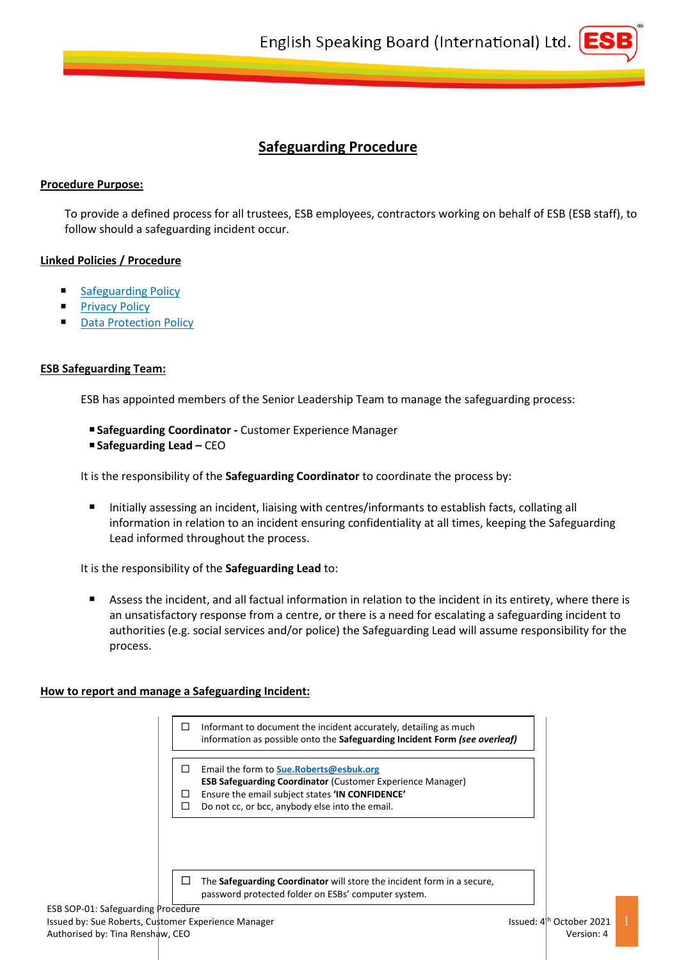

# **Safeguarding Procedure**

# **Procedure Purpose:**

To provide a defined process for all trustees, ESB employees, contractors working on behalf of ESB (ESB staff), to follow should a safeguarding incident occur.

# **Linked Policies / Procedure**

- **[Safeguarding Policy](https://esbuk.org/web/app/uploads/2020/12/ESB-POL-01-Safeguarding-Policy-v3.pdf)**
- [Privacy Policy](https://esbuk.org/web/app/uploads/2020/09/ESB-POL-03-Privacy-Policy-v3.pdf)
- Data [Protection](https://esbuk.org/web/app/uploads/2018/12/ESB-POL-04-Data-Protection-Policy.pdf) Policy

### **ESB Safeguarding Team:**

ESB has appointed members of the Senior Leadership Team to manage the safeguarding process:

 **Safeguarding Coordinator -** Customer Experience Manager **Safeguarding Lead – CEO** 

It is the responsibility of the **Safeguarding Coordinator** to coordinate the process by:

 Initially assessing an incident, liaising with centres/informants to establish facts, collating all information in relation to an incident ensuring confidentiality at all times, keeping the Safeguarding Lead informed throughout the process.

It is the responsibility of the **Safeguarding Lead** to:

 Assess the incident, and all factual information in relation to the incident in its entirety, where there is an unsatisfactory response from a centre, or there is a need for escalating a safeguarding incident to authorities (e.g. social services and/or police) the Safeguarding Lead will assume responsibility for the process.

### **How to report and manage a Safeguarding Incident:**

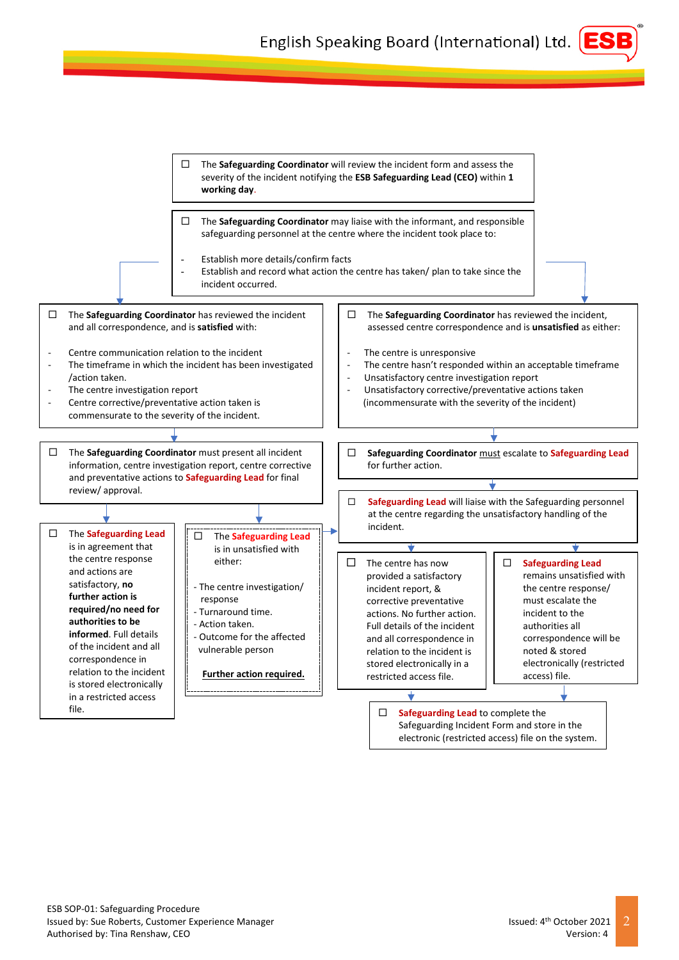